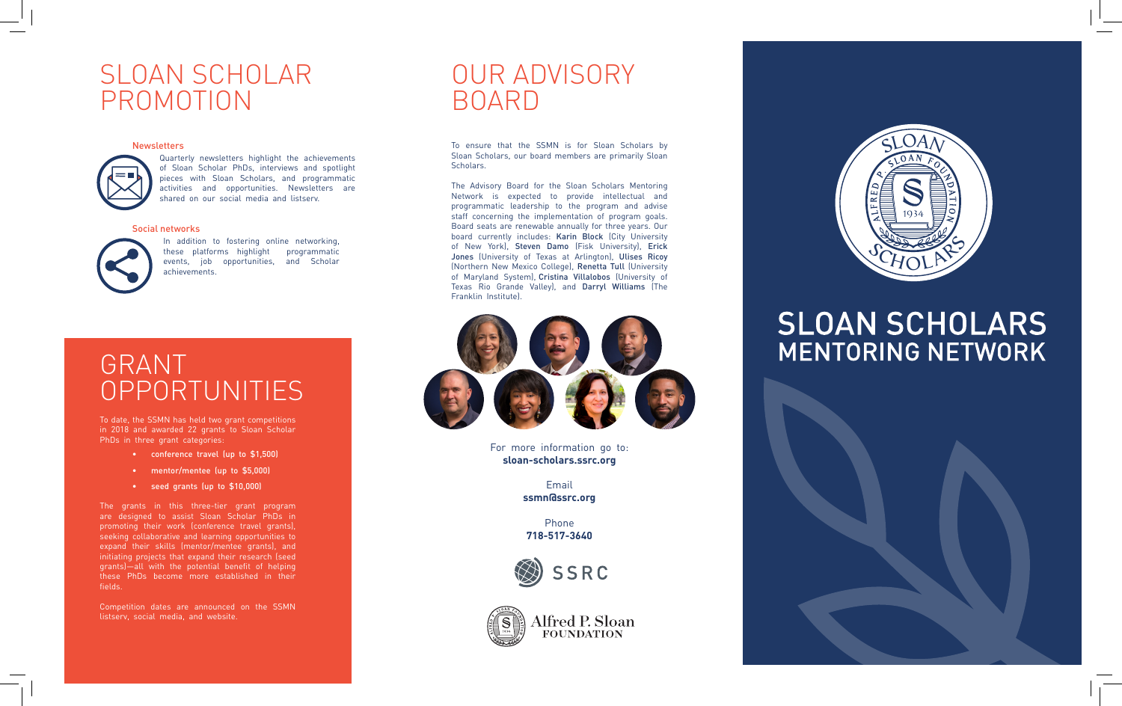## SLOAN SCHOLAR PROMOTION

#### **Newsletters**



Quarterly newsletters highlight the achievements of Sloan Scholar PhDs, interviews and spotlight pieces with Sloan Scholars, and programmatic activities and opportunities. Newsletters are shared on our social media and listserv.

#### Social networks



In addition to fostering online networking, these platforms highlight programmatic events, job opportunities, and Scholar achievements.

## GRANT OPPORTUNITIES

To date, the SSMN has held two grant competitions in 2018 and awarded 22 grants to Sloan Scholar PhDs in three grant categories:

- 
- 
- 

The grants in this three-tier grant program are designed to assist Sloan Scholar PhDs in promoting their work (conference travel grants), seeking collaborative and learning opportunities to expand their skills (mentor/mentee grants), and initiating projects that expand their research (seed grants)—all with the potential benefit of helping these PhDs become more established in their fields. • conference travel (up to \$1,500)<br>• mentor/mentee (up to \$5,000)<br>• seed grants (up to \$10,000)<br>The grants in this three-tier grant prog<br>are designed to assist Sloan Scholar PhDs<br>promoting their work (conference travel gra

Competition dates are announced on the SSMN

## OUR ADVISORY BOARD

To ensure that the SSMN is for Sloan Scholars by Sloan Scholars, our board members are primarily Sloan Scholars.

The Advisory Board for the Sloan Scholars Mentoring Network is expected to provide intellectual and programmatic leadership to the program and advise staff concerning the implementation of program goals. Board seats are renewable annually for three years. Our board currently includes: Karin Block (City University of New York), Steven Damo (Fisk University), Erick Jones (University of Texas at Arlington), Ulises Ricoy (Northern New Mexico College), Renetta Tull (University of Maryland System), Cristina Villalobos (University of Texas Rio Grande Valley), and Darryl Williams (The Franklin Institute).



For more information go to: **sloan-scholars.ssrc.org**

> Email **ssmn@ssrc.org**

Phone **718-517-3640**







## **SLOAN SCHOLARS MENTORING NETWORK**